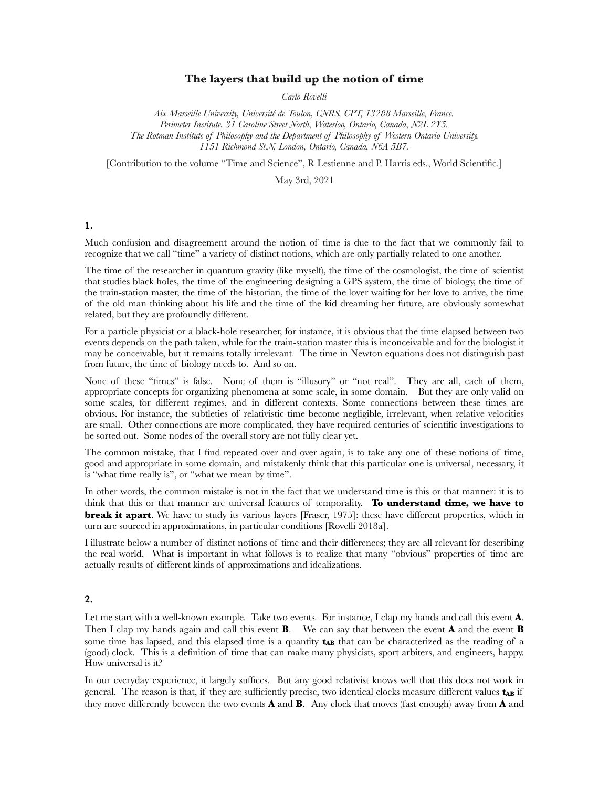### **The layers that build up the notion of time**

*Carlo Rovelli* 

*Aix Marseille University, Université de Toulon, CNRS, CPT, 13288 Marseille, France. Perimeter Institute, 31 Caroline Street North, Waterloo, Ontario, Canada, N2L 2Y5. The Rotman Institute of Philosophy and the Department of Philosophy of Western Ontario University, 1151 Richmond St.N, London, Ontario, Canada, N6A 5B7.*

[Contribution to the volume "Time and Science", R Lestienne and P. Harris eds., World Scientific.]

May 3rd, 2021

#### **1.**

Much confusion and disagreement around the notion of time is due to the fact that we commonly fail to recognize that we call "time" a variety of distinct notions, which are only partially related to one another.

The time of the researcher in quantum gravity (like myself), the time of the cosmologist, the time of scientist that studies black holes, the time of the engineering designing a GPS system, the time of biology, the time of the train-station master, the time of the historian, the time of the lover waiting for her love to arrive, the time of the old man thinking about his life and the time of the kid dreaming her future, are obviously somewhat related, but they are profoundly different.

For a particle physicist or a black-hole researcher, for instance, it is obvious that the time elapsed between two events depends on the path taken, while for the train-station master this is inconceivable and for the biologist it may be conceivable, but it remains totally irrelevant. The time in Newton equations does not distinguish past from future, the time of biology needs to. And so on.

None of these "times" is false. None of them is "illusory" or "not real". They are all, each of them, appropriate concepts for organizing phenomena at some scale, in some domain. But they are only valid on some scales, for different regimes, and in different contexts. Some connections between these times are obvious. For instance, the subtleties of relativistic time become negligible, irrelevant, when relative velocities are small. Other connections are more complicated, they have required centuries of scientific investigations to be sorted out. Some nodes of the overall story are not fully clear yet.

The common mistake, that I find repeated over and over again, is to take any one of these notions of time, good and appropriate in some domain, and mistakenly think that this particular one is universal, necessary, it is "what time really is", or "what we mean by time".

In other words, the common mistake is not in the fact that we understand time is this or that manner: it is to think that this or that manner are universal features of temporality. **To understand time, we have to break it apart**. We have to study its various layers [Fraser, 1975]: these have different properties, which in turn are sourced in approximations, in particular conditions [Rovelli 2018a].

I illustrate below a number of distinct notions of time and their differences; they are all relevant for describing the real world. What is important in what follows is to realize that many "obvious" properties of time are actually results of different kinds of approximations and idealizations.

### **2.**

Let me start with a well-known example. Take two events. For instance, I clap my hands and call this event **A**. Then I clap my hands again and call this event **B**. We can say that between the event **A** and the event **B** some time has lapsed, and this elapsed time is a quantity **tAB** that can be characterized as the reading of a (good) clock. This is a definition of time that can make many physicists, sport arbiters, and engineers, happy. How universal is it?

In our everyday experience, it largely suffices. But any good relativist knows well that this does not work in general. The reason is that, if they are sufficiently precise, two identical clocks measure different values **t<sub>AB</sub>** if they move differently between the two events **A** and **B**. Any clock that moves (fast enough) away from **A** and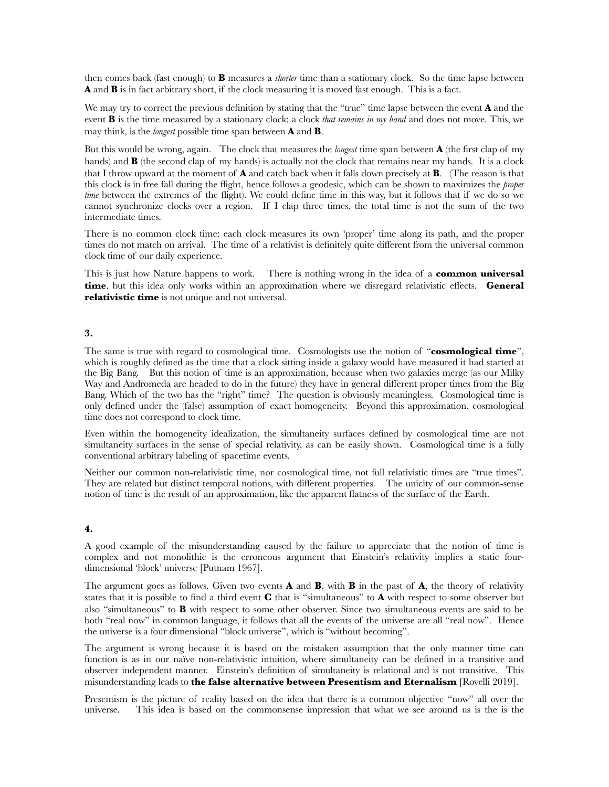then comes back (fast enough) to **B** measures a *shorter* time than a stationary clock. So the time lapse between **A** and **B** is in fact arbitrary short, if the clock measuring it is moved fast enough. This is a fact.

We may try to correct the previous definition by stating that the "true" time lapse between the event **A** and the event **B** is the time measured by a stationary clock: a clock *that remains in my hand* and does not move. This, we may think, is the *longest* possible time span between **A** and **B**.

But this would be wrong, again. The clock that measures the *longest* time span between **A** (the first clap of my hands) and **B** (the second clap of my hands) is actually not the clock that remains near my hands. It is a clock that I throw upward at the moment of **A** and catch back when it falls down precisely at **B**. (The reason is that this clock is in free fall during the flight, hence follows a geodesic, which can be shown to maximizes the *proper time* between the extremes of the flight). We could define time in this way, but it follows that if we do so we cannot synchronize clocks over a region. If I clap three times, the total time is not the sum of the two intermediate times.

There is no common clock time: each clock measures its own 'proper' time along its path, and the proper times do not match on arrival. The time of a relativist is definitely quite different from the universal common clock time of our daily experience.

This is just how Nature happens to work. There is nothing wrong in the idea of a **common universal time**, but this idea only works within an approximation where we disregard relativistic effects. **General relativistic time** is not unique and not universal.

### **3.**

The same is true with regard to cosmological time. Cosmologists use the notion of "**cosmological time**", which is roughly defined as the time that a clock sitting inside a galaxy would have measured it had started at the Big Bang. But this notion of time is an approximation, because when two galaxies merge (as our Milky Way and Andromeda are headed to do in the future) they have in general different proper times from the Big Bang. Which of the two has the "right" time? The question is obviously meaningless. Cosmological time is only defined under the (false) assumption of exact homogeneity. Beyond this approximation, cosmological time does not correspond to clock time.

Even within the homogeneity idealization, the simultaneity surfaces defined by cosmological time are not simultaneity surfaces in the sense of special relativity, as can be easily shown. Cosmological time is a fully conventional arbitrary labeling of spacetime events.

Neither our common non-relativistic time, nor cosmological time, not full relativistic times are "true times". They are related but distinct temporal notions, with different properties. The unicity of our common-sense notion of time is the result of an approximation, like the apparent flatness of the surface of the Earth.

# **4.**

A good example of the misunderstanding caused by the failure to appreciate that the notion of time is complex and not monolithic is the erroneous argument that Einstein's relativity implies a static fourdimensional 'block' universe [Putnam 1967].

The argument goes as follows. Given two events **A** and **B**, with **B** in the past of **A**, the theory of relativity states that it is possible to find a third event **C** that is "simultaneous" to **A** with respect to some observer but also "simultaneous" to **B** with respect to some other observer. Since two simultaneous events are said to be both "real now" in common language, it follows that all the events of the universe are all "real now". Hence the universe is a four dimensional "block universe", which is "without becoming".

The argument is wrong because it is based on the mistaken assumption that the only manner time can function is as in our naïve non-relativistic intuition, where simultaneity can be defined in a transitive and observer independent manner. Einstein's definition of simultaneity is relational and is not transitive. This misunderstanding leads to **the false alternative between Presentism and Eternalism** [Rovelli 2019].

Presentism is the picture of reality based on the idea that there is a common objective "now" all over the universe. This idea is based on the commonsense impression that what we see around us is the is the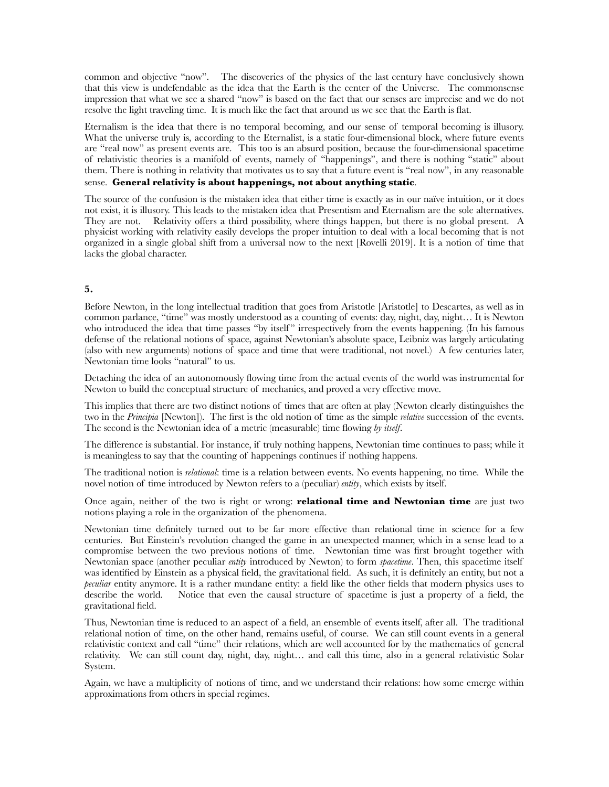common and objective "now". The discoveries of the physics of the last century have conclusively shown that this view is undefendable as the idea that the Earth is the center of the Universe. The commonsense impression that what we see a shared "now" is based on the fact that our senses are imprecise and we do not resolve the light traveling time. It is much like the fact that around us we see that the Earth is flat.

Eternalism is the idea that there is no temporal becoming, and our sense of temporal becoming is illusory. What the universe truly is, according to the Eternalist, is a static four-dimensional block, where future events are "real now" as present events are. This too is an absurd position, because the four-dimensional spacetime of relativistic theories is a manifold of events, namely of "happenings", and there is nothing "static" about them. There is nothing in relativity that motivates us to say that a future event is "real now", in any reasonable sense. **General relativity is about happenings, not about anything static**.

The source of the confusion is the mistaken idea that either time is exactly as in our naïve intuition, or it does not exist, it is illusory. This leads to the mistaken idea that Presentism and Eternalism are the sole alternatives. They are not. Relativity offers a third possibility, where things happen, but there is no global present. A physicist working with relativity easily develops the proper intuition to deal with a local becoming that is not organized in a single global shift from a universal now to the next [Rovelli 2019]. It is a notion of time that lacks the global character.

## **5.**

Before Newton, in the long intellectual tradition that goes from Aristotle [Aristotle] to Descartes, as well as in common parlance, "time" was mostly understood as a counting of events: day, night, day, night… It is Newton who introduced the idea that time passes "by itself" irrespectively from the events happening. (In his famous defense of the relational notions of space, against Newtonian's absolute space, Leibniz was largely articulating (also with new arguments) notions of space and time that were traditional, not novel.) A few centuries later, Newtonian time looks "natural" to us.

Detaching the idea of an autonomously flowing time from the actual events of the world was instrumental for Newton to build the conceptual structure of mechanics, and proved a very effective move.

This implies that there are two distinct notions of times that are often at play (Newton clearly distinguishes the two in the *Principia* [Newton]). The first is the old notion of time as the simple *relative* succession of the events. The second is the Newtonian idea of a metric (measurable) time flowing *by itself*.

The difference is substantial. For instance, if truly nothing happens, Newtonian time continues to pass; while it is meaningless to say that the counting of happenings continues if nothing happens.

The traditional notion is *relational*: time is a relation between events. No events happening, no time. While the novel notion of time introduced by Newton refers to a (peculiar) *entity*, which exists by itself.

Once again, neither of the two is right or wrong: **relational time and Newtonian time** are just two notions playing a role in the organization of the phenomena.

Newtonian time definitely turned out to be far more effective than relational time in science for a few centuries. But Einstein's revolution changed the game in an unexpected manner, which in a sense lead to a compromise between the two previous notions of time. Newtonian time was first brought together with Newtonian space (another peculiar *entity* introduced by Newton) to form *spacetime*. Then, this spacetime itself was identified by Einstein as a physical field, the gravitational field. As such, it is definitely an entity, but not a *peculiar* entity anymore. It is a rather mundane entity: a field like the other fields that modern physics uses to describe the world. Notice that even the causal structure of spacetime is just a property of a field, the gravitational field.

Thus, Newtonian time is reduced to an aspect of a field, an ensemble of events itself, after all. The traditional relational notion of time, on the other hand, remains useful, of course. We can still count events in a general relativistic context and call "time" their relations, which are well accounted for by the mathematics of general relativity. We can still count day, night, day, night… and call this time, also in a general relativistic Solar System.

Again, we have a multiplicity of notions of time, and we understand their relations: how some emerge within approximations from others in special regimes.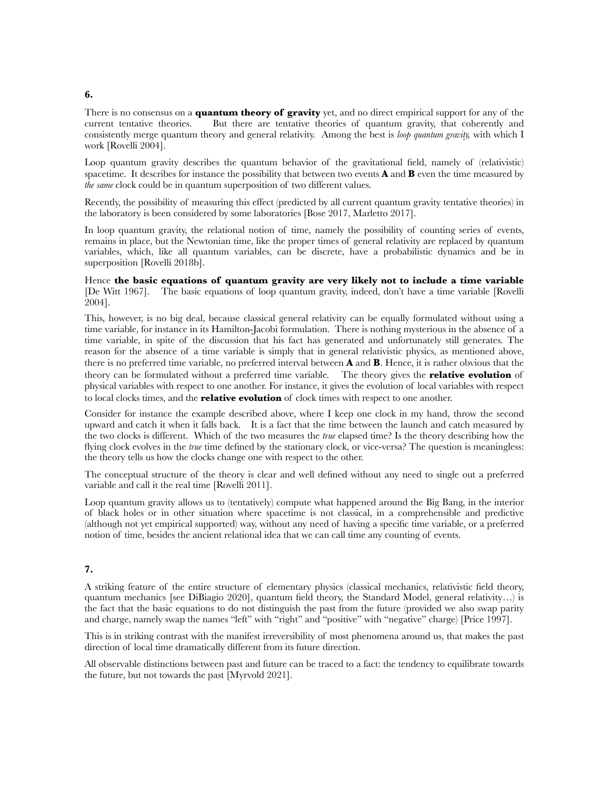#### **6.**

There is no consensus on a **quantum theory of gravity** yet, and no direct empirical support for any of the current tentative theories. But there are tentative theories of quantum gravity, that coherently and consistently merge quantum theory and general relativity. Among the best is *loop quantum gravity,* with which I work [Rovelli 2004].

Loop quantum gravity describes the quantum behavior of the gravitational field, namely of (relativistic) spacetime. It describes for instance the possibility that between two events **A** and **B** even the time measured by *the same* clock could be in quantum superposition of two different values.

Recently, the possibility of measuring this effect (predicted by all current quantum gravity tentative theories) in the laboratory is been considered by some laboratories [Bose 2017, Marletto 2017].

In loop quantum gravity, the relational notion of time, namely the possibility of counting series of events, remains in place, but the Newtonian time, like the proper times of general relativity are replaced by quantum variables, which, like all quantum variables, can be discrete, have a probabilistic dynamics and be in superposition [Rovelli 2018b].

### Hence **the basic equations of quantum gravity are very likely not to include a time variable** [De Witt 1967]. The basic equations of loop quantum gravity, indeed, don't have a time variable [Rovelli 2004].

This, however, is no big deal, because classical general relativity can be equally formulated without using a time variable, for instance in its Hamilton-Jacobi formulation. There is nothing mysterious in the absence of a time variable, in spite of the discussion that his fact has generated and unfortunately still generates. The reason for the absence of a time variable is simply that in general relativistic physics, as mentioned above, there is no preferred time variable, no preferred interval between **A** and **B**. Hence, it is rather obvious that the theory can be formulated without a preferred time variable. The theory gives the **relative evolution** of physical variables with respect to one another. For instance, it gives the evolution of local variables with respect to local clocks times, and the **relative evolution** of clock times with respect to one another.

Consider for instance the example described above, where I keep one clock in my hand, throw the second upward and catch it when it falls back. It is a fact that the time between the launch and catch measured by the two clocks is different. Which of the two measures the *true* elapsed time? Is the theory describing how the flying clock evolves in the *true* time defined by the stationary clock, or vice-versa? The question is meaningless: the theory tells us how the clocks change one with respect to the other.

The conceptual structure of the theory is clear and well defined without any need to single out a preferred variable and call it the real time [Rovelli 2011].

Loop quantum gravity allows us to (tentatively) compute what happened around the Big Bang, in the interior of black holes or in other situation where spacetime is not classical, in a comprehensible and predictive (although not yet empirical supported) way, without any need of having a specific time variable, or a preferred notion of time, besides the ancient relational idea that we can call time any counting of events.

## **7.**

A striking feature of the entire structure of elementary physics (classical mechanics, relativistic field theory, quantum mechanics [see DiBiagio 2020], quantum field theory, the Standard Model, general relativity…) is the fact that the basic equations to do not distinguish the past from the future (provided we also swap parity and charge, namely swap the names "left" with "right" and "positive" with "negative" charge) [Price 1997].

This is in striking contrast with the manifest irreversibility of most phenomena around us, that makes the past direction of local time dramatically different from its future direction.

All observable distinctions between past and future can be traced to a fact: the tendency to equilibrate towards the future, but not towards the past [Myrvold 2021].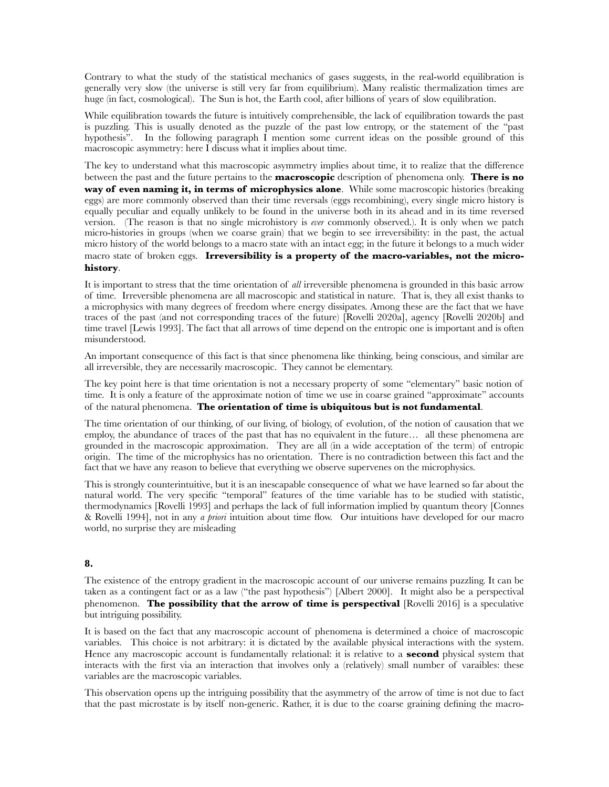Contrary to what the study of the statistical mechanics of gases suggests, in the real-world equilibration is generally very slow (the universe is still very far from equilibrium). Many realistic thermalization times are huge (in fact, cosmological). The Sun is hot, the Earth cool, after billions of years of slow equilibration.

While equilibration towards the future is intuitively comprehensible, the lack of equilibration towards the past is puzzling. This is usually denoted as the puzzle of the past low entropy, or the statement of the "past hypothesis". In the following paragraph I mention some current ideas on the possible ground of this macroscopic asymmetry: here I discuss what it implies about time.

The key to understand what this macroscopic asymmetry implies about time, it to realize that the difference between the past and the future pertains to the **macroscopic** description of phenomena only. **There is no way of even naming it, in terms of microphysics alone**. While some macroscopic histories (breaking eggs) are more commonly observed than their time reversals (eggs recombining), every single micro history is equally peculiar and equally unlikely to be found in the universe both in its ahead and in its time reversed version. (The reason is that no single microhistory is *ever* commonly observed.). It is only when we patch micro-histories in groups (when we coarse grain) that we begin to see irreversibility: in the past, the actual micro history of the world belongs to a macro state with an intact egg; in the future it belongs to a much wider macro state of broken eggs. **Irreversibility is a property of the macro-variables, not the microhistory**.

It is important to stress that the time orientation of *all* irreversible phenomena is grounded in this basic arrow of time. Irreversible phenomena are all macroscopic and statistical in nature. That is, they all exist thanks to a microphysics with many degrees of freedom where energy dissipates. Among these are the fact that we have traces of the past (and not corresponding traces of the future) [Rovelli 2020a], agency [Rovelli 2020b] and time travel [Lewis 1993]. The fact that all arrows of time depend on the entropic one is important and is often misunderstood.

An important consequence of this fact is that since phenomena like thinking, being conscious, and similar are all irreversible, they are necessarily macroscopic. They cannot be elementary.

The key point here is that time orientation is not a necessary property of some "elementary" basic notion of time. It is only a feature of the approximate notion of time we use in coarse grained "approximate" accounts of the natural phenomena. **The orientation of time is ubiquitous but is not fundamental**.

The time orientation of our thinking, of our living, of biology, of evolution, of the notion of causation that we employ, the abundance of traces of the past that has no equivalent in the future… all these phenomena are grounded in the macroscopic approximation. They are all (in a wide acceptation of the term) of entropic origin. The time of the microphysics has no orientation. There is no contradiction between this fact and the fact that we have any reason to believe that everything we observe supervenes on the microphysics.

This is strongly counterintuitive, but it is an inescapable consequence of what we have learned so far about the natural world. The very specific "temporal" features of the time variable has to be studied with statistic, thermodynamics [Rovelli 1993] and perhaps the lack of full information implied by quantum theory [Connes & Rovelli 1994], not in any *a priori* intuition about time flow. Our intuitions have developed for our macro world, no surprise they are misleading

## **8.**

The existence of the entropy gradient in the macroscopic account of our universe remains puzzling. It can be taken as a contingent fact or as a law ("the past hypothesis") [Albert 2000]. It might also be a perspectival phenomenon. **The possibility that the arrow of time is perspectival** [Rovelli 2016] is a speculative but intriguing possibility.

It is based on the fact that any macroscopic account of phenomena is determined a choice of macroscopic variables. This choice is not arbitrary: it is dictated by the available physical interactions with the system. Hence any macroscopic account is fundamentally relational: it is relative to a **second** physical system that interacts with the first via an interaction that involves only a (relatively) small number of varaibles: these variables are the macroscopic variables.

This observation opens up the intriguing possibility that the asymmetry of the arrow of time is not due to fact that the past microstate is by itself non-generic. Rather, it is due to the coarse graining defining the macro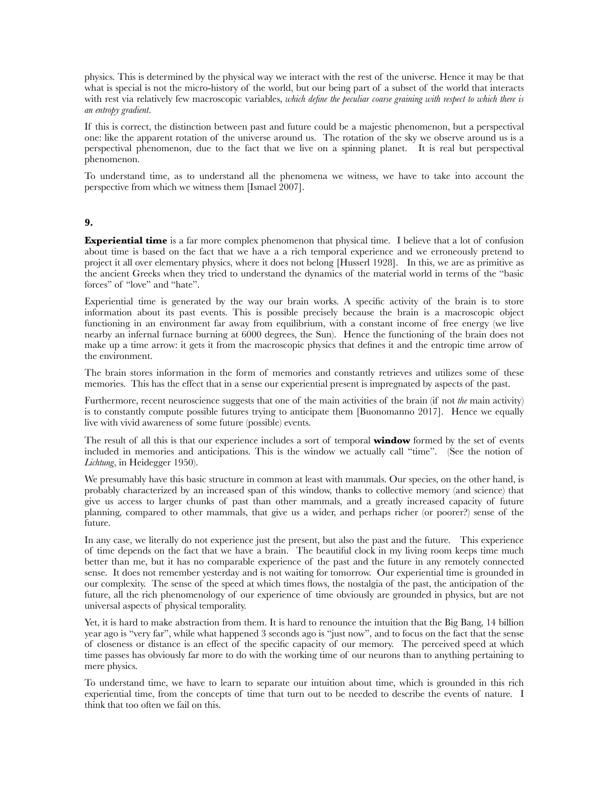physics. This is determined by the physical way we interact with the rest of the universe. Hence it may be that what is special is not the micro-history of the world, but our being part of a subset of the world that interacts with rest via relatively few macroscopic variables, *which define the peculiar coarse graining with respect to which there is an entropy gradient*.

If this is correct, the distinction between past and future could be a majestic phenomenon, but a perspectival one: like the apparent rotation of the universe around us. The rotation of the sky we observe around us is a perspectival phenomenon, due to the fact that we live on a spinning planet. It is real but perspectival phenomenon.

To understand time, as to understand all the phenomena we witness, we have to take into account the perspective from which we witness them [Ismael 2007].

#### **9.**

**Experiential time** is a far more complex phenomenon that physical time. I believe that a lot of confusion about time is based on the fact that we have a a rich temporal experience and we erroneously pretend to project it all over elementary physics, where it does not belong [Husserl 1928]. In this, we are as primitive as the ancient Greeks when they tried to understand the dynamics of the material world in terms of the "basic forces" of "love" and "hate".

Experiential time is generated by the way our brain works. A specific activity of the brain is to store information about its past events. This is possible precisely because the brain is a macroscopic object functioning in an environment far away from equilibrium, with a constant income of free energy (we live nearby an infernal furnace burning at 6000 degrees, the Sun). Hence the functioning of the brain does not make up a time arrow: it gets it from the macroscopic physics that defines it and the entropic time arrow of the environment.

The brain stores information in the form of memories and constantly retrieves and utilizes some of these memories. This has the effect that in a sense our experiential present is impregnated by aspects of the past.

Furthermore, recent neuroscience suggests that one of the main activities of the brain (if not *the* main activity) is to constantly compute possible futures trying to anticipate them [Buonomanno 2017]. Hence we equally live with vivid awareness of some future (possible) events.

The result of all this is that our experience includes a sort of temporal **window** formed by the set of events included in memories and anticipations. This is the window we actually call "time". (See the notion of *Lichtung*, in Heidegger 1950).

We presumably have this basic structure in common at least with mammals. Our species, on the other hand, is probably characterized by an increased span of this window, thanks to collective memory (and science) that give us access to larger chunks of past than other mammals, and a greatly increased capacity of future planning, compared to other mammals, that give us a wider, and perhaps richer (or poorer?) sense of the future.

In any case, we literally do not experience just the present, but also the past and the future. This experience of time depends on the fact that we have a brain. The beautiful clock in my living room keeps time much better than me, but it has no comparable experience of the past and the future in any remotely connected sense. It does not remember yesterday and is not waiting for tomorrow. Our experiential time is grounded in our complexity. The sense of the speed at which times flows, the nostalgia of the past, the anticipation of the future, all the rich phenomenology of our experience of time obviously are grounded in physics, but are not universal aspects of physical temporality.

Yet, it is hard to make abstraction from them. It is hard to renounce the intuition that the Big Bang, 14 billion year ago is "very far", while what happened 3 seconds ago is "just now", and to focus on the fact that the sense of closeness or distance is an effect of the specific capacity of our memory. The perceived speed at which time passes has obviously far more to do with the working time of our neurons than to anything pertaining to mere physics.

To understand time, we have to learn to separate our intuition about time, which is grounded in this rich experiential time, from the concepts of time that turn out to be needed to describe the events of nature. I think that too often we fail on this.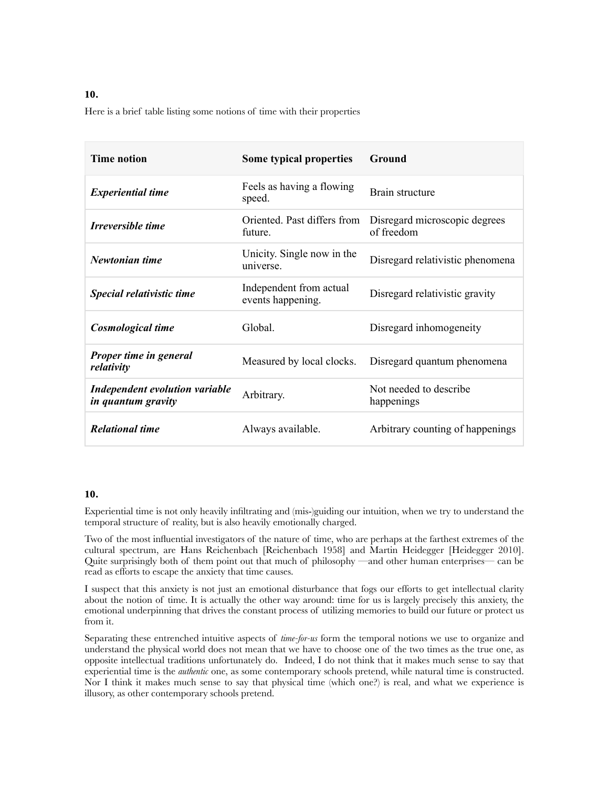# **10.**

Here is a brief table listing some notions of time with their properties

| <b>Time notion</b>                                   | Some typical properties                      | Ground                                      |
|------------------------------------------------------|----------------------------------------------|---------------------------------------------|
| <b>Experiential time</b>                             | Feels as having a flowing<br>speed.          | Brain structure                             |
| Irreversible time                                    | Oriented. Past differs from<br>future.       | Disregard microscopic degrees<br>of freedom |
| Newtonian time                                       | Unicity. Single now in the<br>universe.      | Disregard relativistic phenomena            |
| Special relativistic time                            | Independent from actual<br>events happening. | Disregard relativistic gravity              |
| Cosmological time                                    | Global.                                      | Disregard inhomogeneity                     |
| Proper time in general<br>relativity                 | Measured by local clocks.                    | Disregard quantum phenomena                 |
| Independent evolution variable<br>in quantum gravity | Arbitrary.                                   | Not needed to describe.<br>happenings       |
| <b>Relational time</b>                               | Always available.                            | Arbitrary counting of happenings            |

#### **10.**

Experiential time is not only heavily infiltrating and (mis-)guiding our intuition, when we try to understand the temporal structure of reality, but is also heavily emotionally charged.

Two of the most influential investigators of the nature of time, who are perhaps at the farthest extremes of the cultural spectrum, are Hans Reichenbach [Reichenbach 1958] and Martin Heidegger [Heidegger 2010]. Quite surprisingly both of them point out that much of philosophy —and other human enterprises— can be read as efforts to escape the anxiety that time causes.

I suspect that this anxiety is not just an emotional disturbance that fogs our efforts to get intellectual clarity about the notion of time. It is actually the other way around: time for us is largely precisely this anxiety, the emotional underpinning that drives the constant process of utilizing memories to build our future or protect us from it.

Separating these entrenched intuitive aspects of *time-for-us* form the temporal notions we use to organize and understand the physical world does not mean that we have to choose one of the two times as the true one, as opposite intellectual traditions unfortunately do. Indeed, I do not think that it makes much sense to say that experiential time is the *authentic* one, as some contemporary schools pretend, while natural time is constructed. Nor I think it makes much sense to say that physical time (which one?) is real, and what we experience is illusory, as other contemporary schools pretend.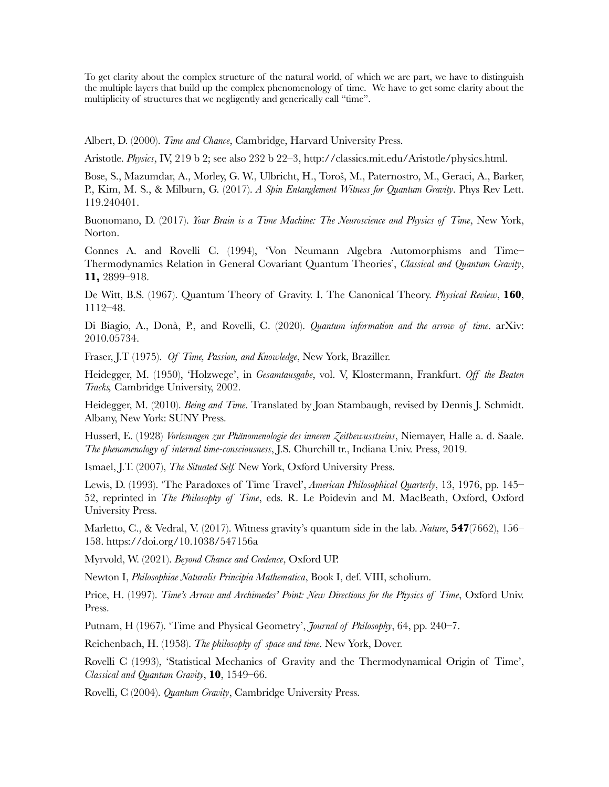To get clarity about the complex structure of the natural world, of which we are part, we have to distinguish the multiple layers that build up the complex phenomenology of time. We have to get some clarity about the multiplicity of structures that we negligently and generically call "time".

Albert, D. (2000). *Time and Chance*, Cambridge, Harvard University Press.

Aristotle. *Physics*, IV, 219 b 2; see also 232 b 22‒3, http://classics.mit.edu/Aristotle/physics.html.

Bose, S., Mazumdar, A., Morley, G. W., Ulbricht, H., Toroš, M., Paternostro, M., Geraci, A., Barker, P., Kim, M. S., & Milburn, G. (2017). *A Spin Entanglement Witness for Quantum Gravity*. Phys Rev Lett. 119.240401.

Buonomano, D. (2017). *Your Brain is a Time Machine: The Neuroscience and Physics of Time*, New York, Norton.

Connes A. and Rovelli C. (1994), 'Von Neumann Algebra Automorphisms and Time– Thermodynamics Relation in General Covariant Quantum Theories', *Classical and Quantum Gravity*, **11,** 2899–918.

De Witt, B.S. (1967). Quantum Theory of Gravity. I. The Canonical Theory. *Physical Review*, **160**, 1112–48.

Di Biagio, A., Donà, P., and Rovelli, C. (2020). *Quantum information and the arrow of time*. arXiv: 2010.05734.

Fraser, J.T (1975). *Of Time, Passion, and Knowledge*, New York, Braziller.

Heidegger, M. (1950), 'Holzwege', in *Gesamtausgabe*, vol. V, Klostermann, Frankfurt. *Off the Beaten Tracks,* Cambridge University, 2002.

Heidegger, M. (2010). *Being and Time*. Translated by Joan Stambaugh, revised by Dennis J. Schmidt. Albany, New York: SUNY Press.

Husserl, E. (1928) *Vorlesungen zur Phänomenologie des inneren Zeitbewusstseins*, Niemayer, Halle a. d. Saale. *The phenomenology of internal time-consciousness*, J.S. Churchill tr., Indiana Univ. Press, 2019.

Ismael, J.T. (2007), *The Situated Self.* New York, Oxford University Press.

Lewis, D. (1993). 'The Paradoxes of Time Travel', *American Philosophical Quarterly*, 13, 1976, pp. 145– 52, reprinted in *The Philosophy of Time*, eds. R. Le Poidevin and M. MacBeath, Oxford, Oxford University Press.

Marletto, C., & Vedral, V. (2017). Witness gravity's quantum side in the lab. *Nature*, **547**(7662), 156– 158. https://doi.org/10.1038/547156a

Myrvold, W. (2021). *Beyond Chance and Credence*, Oxford UP.

Newton I, *Philosophiae Naturalis Principia Mathematica*, Book I, def. VIII, scholium.

Price, H. (1997). *Time's Arrow and Archimedes' Point: New Directions for the Physics of Time*, Oxford Univ. Press.

Putnam, H (1967). 'Time and Physical Geometry', *Journal of Philosophy*, 64, pp. 240–7.

Reichenbach, H. (1958). *The philosophy of space and time*. New York, Dover.

Rovelli C (1993), 'Statistical Mechanics of Gravity and the Thermodynamical Origin of Time', *Classical and Quantum Gravity*, **10**, 1549–66.

Rovelli, C (2004). *Quantum Gravity*, Cambridge University Press.